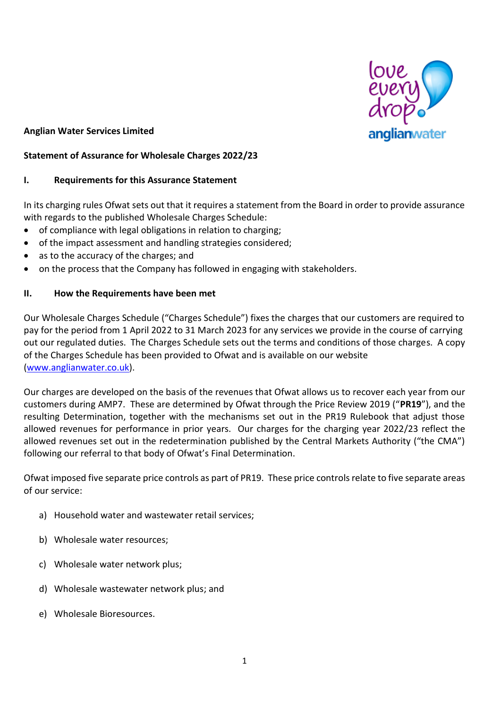

# **Anglian Water Services Limited**

# **Statement of Assurance for Wholesale Charges 2022/23**

# **I. Requirements for this Assurance Statement**

In its charging rules Ofwat sets out that it requires a statement from the Board in order to provide assurance with regards to the published Wholesale Charges Schedule:

- of compliance with legal obligations in relation to charging;
- of the impact assessment and handling strategies considered;
- as to the accuracy of the charges; and
- on the process that the Company has followed in engaging with stakeholders.

# **II. How the Requirements have been met**

Our Wholesale Charges Schedule ("Charges Schedule") fixes the charges that our customers are required to pay for the period from 1 April 2022 to 31 March 2023 for any services we provide in the course of carrying out our regulated duties. The Charges Schedule sets out the terms and conditions of those charges. A copy of the Charges Schedule has been provided to Ofwat and is available on our website [\(www.anglianwater.co.uk\)](http://www.anglianwater.co.uk/).

Our charges are developed on the basis of the revenues that Ofwat allows us to recover each year from our customers during AMP7. These are determined by Ofwat through the Price Review 2019 ("**PR19**"), and the resulting Determination, together with the mechanisms set out in the PR19 Rulebook that adjust those allowed revenues for performance in prior years. Our charges for the charging year 2022/23 reflect the allowed revenues set out in the redetermination published by the Central Markets Authority ("the CMA") following our referral to that body of Ofwat's Final Determination.

Ofwat imposed five separate price controls as part of PR19. These price controls relate to five separate areas of our service:

- a) Household water and wastewater retail services;
- b) Wholesale water resources;
- c) Wholesale water network plus;
- d) Wholesale wastewater network plus; and
- e) Wholesale Bioresources.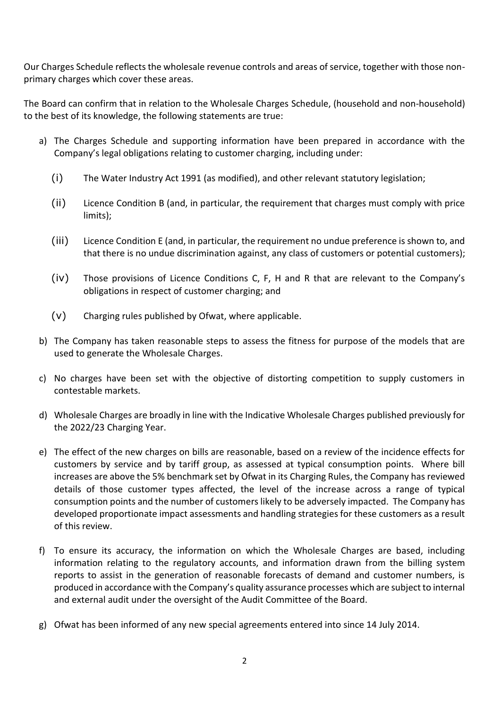Our Charges Schedule reflects the wholesale revenue controls and areas of service, together with those nonprimary charges which cover these areas.

The Board can confirm that in relation to the Wholesale Charges Schedule, (household and non-household) to the best of its knowledge, the following statements are true:

- a) The Charges Schedule and supporting information have been prepared in accordance with the Company's legal obligations relating to customer charging, including under:
	- (i) The Water Industry Act 1991 (as modified), and other relevant statutory legislation;
	- (ii) Licence Condition B (and, in particular, the requirement that charges must comply with price limits);
	- (iii) Licence Condition E (and, in particular, the requirement no undue preference is shown to, and that there is no undue discrimination against, any class of customers or potential customers);
	- (iv) Those provisions of Licence Conditions C, F, H and R that are relevant to the Company's obligations in respect of customer charging; and
	- (v) Charging rules published by Ofwat, where applicable.
- b) The Company has taken reasonable steps to assess the fitness for purpose of the models that are used to generate the Wholesale Charges.
- c) No charges have been set with the objective of distorting competition to supply customers in contestable markets.
- d) Wholesale Charges are broadly in line with the Indicative Wholesale Charges published previously for the 2022/23 Charging Year.
- e) The effect of the new charges on bills are reasonable, based on a review of the incidence effects for customers by service and by tariff group, as assessed at typical consumption points. Where bill increases are above the 5% benchmark set by Ofwat in its Charging Rules, the Company has reviewed details of those customer types affected, the level of the increase across a range of typical consumption points and the number of customers likely to be adversely impacted. The Company has developed proportionate impact assessments and handling strategies for these customers as a result of this review.
- f) To ensure its accuracy, the information on which the Wholesale Charges are based, including information relating to the regulatory accounts, and information drawn from the billing system reports to assist in the generation of reasonable forecasts of demand and customer numbers, is produced in accordance with the Company's quality assurance processes which are subject to internal and external audit under the oversight of the Audit Committee of the Board.
- g) Ofwat has been informed of any new special agreements entered into since 14 July 2014.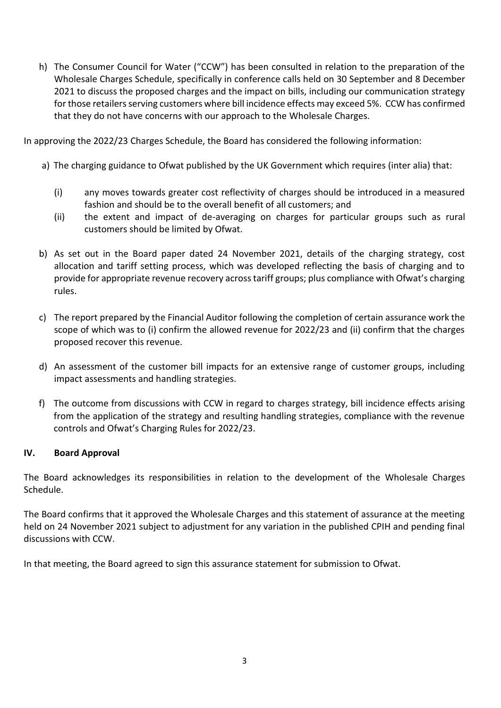h) The Consumer Council for Water ("CCW") has been consulted in relation to the preparation of the Wholesale Charges Schedule, specifically in conference calls held on 30 September and 8 December 2021 to discuss the proposed charges and the impact on bills, including our communication strategy for those retailers serving customers where bill incidence effects may exceed 5%. CCW has confirmed that they do not have concerns with our approach to the Wholesale Charges.

In approving the 2022/23 Charges Schedule, the Board has considered the following information:

- a) The charging guidance to Ofwat published by the UK Government which requires (inter alia) that:
	- (i) any moves towards greater cost reflectivity of charges should be introduced in a measured fashion and should be to the overall benefit of all customers; and
	- (ii) the extent and impact of de-averaging on charges for particular groups such as rural customers should be limited by Ofwat.
- b) As set out in the Board paper dated 24 November 2021, details of the charging strategy, cost allocation and tariff setting process, which was developed reflecting the basis of charging and to provide for appropriate revenue recovery across tariff groups; plus compliance with Ofwat's charging rules.
- c) The report prepared by the Financial Auditor following the completion of certain assurance work the scope of which was to (i) confirm the allowed revenue for 2022/23 and (ii) confirm that the charges proposed recover this revenue.
- d) An assessment of the customer bill impacts for an extensive range of customer groups, including impact assessments and handling strategies.
- f) The outcome from discussions with CCW in regard to charges strategy, bill incidence effects arising from the application of the strategy and resulting handling strategies, compliance with the revenue controls and Ofwat's Charging Rules for 2022/23.

# **IV. Board Approval**

The Board acknowledges its responsibilities in relation to the development of the Wholesale Charges Schedule.

The Board confirms that it approved the Wholesale Charges and this statement of assurance at the meeting held on 24 November 2021 subject to adjustment for any variation in the published CPIH and pending final discussions with CCW.

In that meeting, the Board agreed to sign this assurance statement for submission to Ofwat.